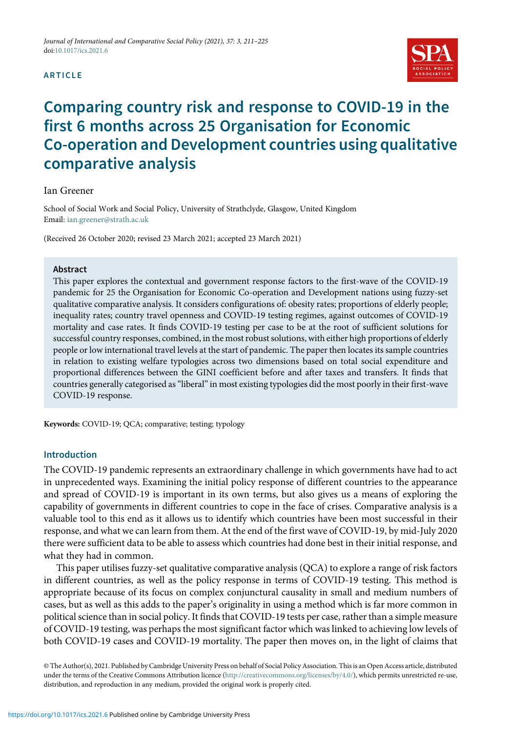#### ARTICLE



# Comparing country risk and response to COVID-19 in the first 6 months across 25 Organisation for Economic Co-operation and Development countries using qualitative comparative analysis

#### Ian Greener

School of Social Work and Social Policy, University of Strathclyde, Glasgow, United Kingdom Email: [ian.greener@strath.ac.uk](mailto:ian.greener@strath.ac.uk)

(Received 26 October 2020; revised 23 March 2021; accepted 23 March 2021)

#### **Abstract**

This paper explores the contextual and government response factors to the first-wave of the COVID-19 pandemic for 25 the Organisation for Economic Co-operation and Development nations using fuzzy-set qualitative comparative analysis. It considers configurations of: obesity rates; proportions of elderly people; inequality rates; country travel openness and COVID-19 testing regimes, against outcomes of COVID-19 mortality and case rates. It finds COVID-19 testing per case to be at the root of sufficient solutions for successful country responses, combined, in the most robust solutions, with either high proportions of elderly people or low international travel levels at the start of pandemic. The paper then locates its sample countries in relation to existing welfare typologies across two dimensions based on total social expenditure and proportional differences between the GINI coefficient before and after taxes and transfers. It finds that countries generally categorised as"liberal"in most existing typologies did the most poorly in their first-wave COVID-19 response.

Keywords: COVID-19; QCA; comparative; testing; typology

## Introduction

The COVID-19 pandemic represents an extraordinary challenge in which governments have had to act in unprecedented ways. Examining the initial policy response of different countries to the appearance and spread of COVID-19 is important in its own terms, but also gives us a means of exploring the capability of governments in different countries to cope in the face of crises. Comparative analysis is a valuable tool to this end as it allows us to identify which countries have been most successful in their response, and what we can learn from them. At the end of the first wave of COVID-19, by mid-July 2020 there were sufficient data to be able to assess which countries had done best in their initial response, and what they had in common.

This paper utilises fuzzy-set qualitative comparative analysis (QCA) to explore a range of risk factors in different countries, as well as the policy response in terms of COVID-19 testing. This method is appropriate because of its focus on complex conjunctural causality in small and medium numbers of cases, but as well as this adds to the paper's originality in using a method which is far more common in political science than in social policy. It finds that COVID-19 tests per case, rather than a simple measure of COVID-19 testing, was perhaps the most significant factor which was linked to achieving low levels of both COVID-19 cases and COVID-19 mortality. The paper then moves on, in the light of claims that

© The Author(s), 2021. Published by Cambridge University Press on behalf of Social Policy Association. This is an Open Access article, distributed under the terms of the Creative Commons Attribution licence [\(http://creativecommons.org/licenses/by/4.0/\)](http://creativecommons.org/licenses/by/4.0/), which permits unrestricted re-use, distribution, and reproduction in any medium, provided the original work is properly cited.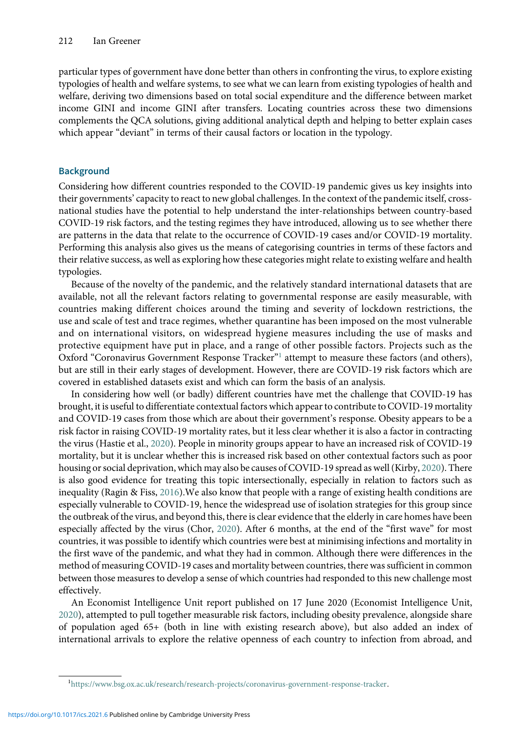particular types of government have done better than others in confronting the virus, to explore existing typologies of health and welfare systems, to see what we can learn from existing typologies of health and welfare, deriving two dimensions based on total social expenditure and the difference between market income GINI and income GINI after transfers. Locating countries across these two dimensions complements the QCA solutions, giving additional analytical depth and helping to better explain cases which appear "deviant" in terms of their causal factors or location in the typology.

# **Background**

Considering how different countries responded to the COVID-19 pandemic gives us key insights into their governments' capacity to react to new global challenges. In the context of the pandemic itself, crossnational studies have the potential to help understand the inter-relationships between country-based COVID-19 risk factors, and the testing regimes they have introduced, allowing us to see whether there are patterns in the data that relate to the occurrence of COVID-19 cases and/or COVID-19 mortality. Performing this analysis also gives us the means of categorising countries in terms of these factors and their relative success, as well as exploring how these categories might relate to existing welfare and health typologies.

Because of the novelty of the pandemic, and the relatively standard international datasets that are available, not all the relevant factors relating to governmental response are easily measurable, with countries making different choices around the timing and severity of lockdown restrictions, the use and scale of test and trace regimes, whether quarantine has been imposed on the most vulnerable and on international visitors, on widespread hygiene measures including the use of masks and protective equipment have put in place, and a range of other possible factors. Projects such as the Oxford "Coronavirus Government Response Tracker"<sup>1</sup> attempt to measure these factors (and others), but are still in their early stages of development. However, there are COVID-19 risk factors which are covered in established datasets exist and which can form the basis of an analysis.

In considering how well (or badly) different countries have met the challenge that COVID-19 has brought, it is useful to differentiate contextual factors which appear to contribute to COVID-19 mortality and COVID-19 cases from those which are about their government's response. Obesity appears to be a risk factor in raising COVID-19 mortality rates, but it less clear whether it is also a factor in contracting the virus (Hastie et al., [2020\)](#page-13-0). People in minority groups appear to have an increased risk of COVID-19 mortality, but it is unclear whether this is increased risk based on other contextual factors such as poor housing or social deprivation, which may also be causes of COVID-19 spread as well (Kirby, [2020\)](#page-13-0). There is also good evidence for treating this topic intersectionally, especially in relation to factors such as inequality (Ragin & Fiss, [2016](#page-13-0)).We also know that people with a range of existing health conditions are especially vulnerable to COVID-19, hence the widespread use of isolation strategies for this group since the outbreak of the virus, and beyond this, there is clear evidence that the elderly in care homes have been especially affected by the virus (Chor, [2020](#page-13-0)). After 6 months, at the end of the "first wave" for most countries, it was possible to identify which countries were best at minimising infections and mortality in the first wave of the pandemic, and what they had in common. Although there were differences in the method of measuring COVID-19 cases and mortality between countries, there was sufficient in common between those measures to develop a sense of which countries had responded to this new challenge most effectively.

An Economist Intelligence Unit report published on 17 June 2020 (Economist Intelligence Unit, [2020\)](#page-13-0), attempted to pull together measurable risk factors, including obesity prevalence, alongside share of population aged 65+ (both in line with existing research above), but also added an index of international arrivals to explore the relative openness of each country to infection from abroad, and

<sup>1</sup> <https://www.bsg.ox.ac.uk/research/research-projects/coronavirus-government-response-tracker>.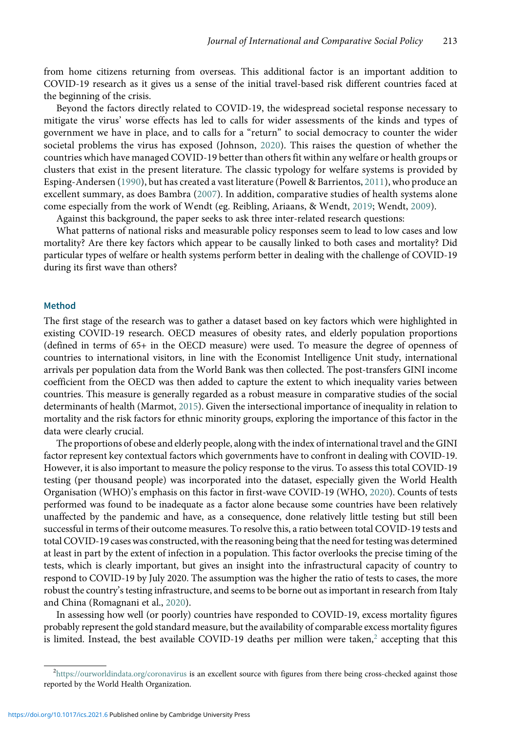from home citizens returning from overseas. This additional factor is an important addition to COVID-19 research as it gives us a sense of the initial travel-based risk different countries faced at the beginning of the crisis.

Beyond the factors directly related to COVID-19, the widespread societal response necessary to mitigate the virus' worse effects has led to calls for wider assessments of the kinds and types of government we have in place, and to calls for a "return" to social democracy to counter the wider societal problems the virus has exposed (Johnson, [2020\)](#page-13-0). This raises the question of whether the countries which have managed COVID-19 better than others fit within any welfare or health groups or clusters that exist in the present literature. The classic typology for welfare systems is provided by Esping-Andersen ([1990\)](#page-13-0), but has created a vast literature (Powell & Barrientos, [2011\)](#page-13-0), who produce an excellent summary, as does Bambra ([2007](#page-13-0)). In addition, comparative studies of health systems alone come especially from the work of Wendt (eg. Reibling, Ariaans, & Wendt, [2019](#page-13-0); Wendt, [2009\)](#page-14-0).

Against this background, the paper seeks to ask three inter-related research questions:

What patterns of national risks and measurable policy responses seem to lead to low cases and low mortality? Are there key factors which appear to be causally linked to both cases and mortality? Did particular types of welfare or health systems perform better in dealing with the challenge of COVID-19 during its first wave than others?

#### Method

The first stage of the research was to gather a dataset based on key factors which were highlighted in existing COVID-19 research. OECD measures of obesity rates, and elderly population proportions (defined in terms of 65+ in the OECD measure) were used. To measure the degree of openness of countries to international visitors, in line with the Economist Intelligence Unit study, international arrivals per population data from the World Bank was then collected. The post-transfers GINI income coefficient from the OECD was then added to capture the extent to which inequality varies between countries. This measure is generally regarded as a robust measure in comparative studies of the social determinants of health (Marmot, [2015](#page-13-0)). Given the intersectional importance of inequality in relation to mortality and the risk factors for ethnic minority groups, exploring the importance of this factor in the data were clearly crucial.

The proportions of obese and elderly people, along with the index of international travel and the GINI factor represent key contextual factors which governments have to confront in dealing with COVID-19. However, it is also important to measure the policy response to the virus. To assess this total COVID-19 testing (per thousand people) was incorporated into the dataset, especially given the World Health Organisation (WHO)'s emphasis on this factor in first-wave COVID-19 (WHO, [2020](#page-14-0)). Counts of tests performed was found to be inadequate as a factor alone because some countries have been relatively unaffected by the pandemic and have, as a consequence, done relatively little testing but still been successful in terms of their outcome measures. To resolve this, a ratio between total COVID-19 tests and total COVID-19 cases was constructed, with the reasoning being that the need for testing was determined at least in part by the extent of infection in a population. This factor overlooks the precise timing of the tests, which is clearly important, but gives an insight into the infrastructural capacity of country to respond to COVID-19 by July 2020. The assumption was the higher the ratio of tests to cases, the more robust the country's testing infrastructure, and seems to be borne out as important in research from Italy and China (Romagnani et al., [2020](#page-13-0)).

In assessing how well (or poorly) countries have responded to COVID-19, excess mortality figures probably represent the gold standard measure, but the availability of comparable excess mortality figures is limited. Instead, the best available COVID-19 deaths per million were taken,<sup>2</sup> accepting that this

<sup>&</sup>lt;sup>2</sup><https://ourworldindata.org/coronavirus> i**s an excellent source with figures from there being cross-checked against those** reported by the World Health Organization.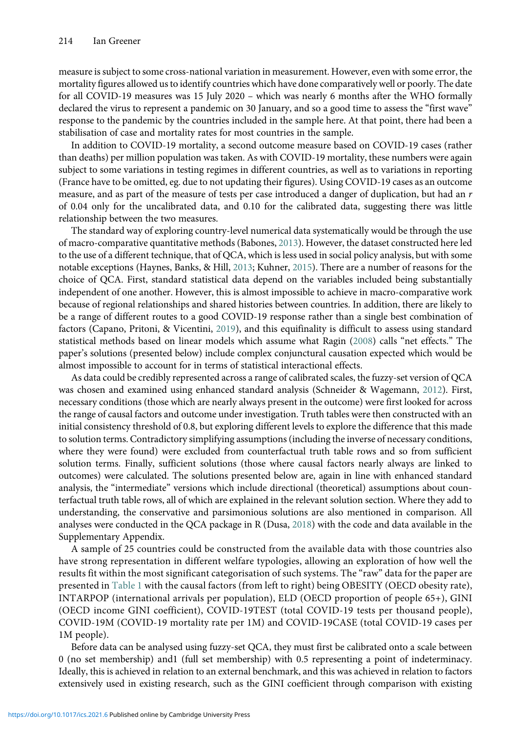measure is subject to some cross-national variation in measurement. However, even with some error, the mortality figures allowed us to identify countries which have done comparatively well or poorly. The date for all COVID-19 measures was 15 July 2020 – which was nearly 6 months after the WHO formally declared the virus to represent a pandemic on 30 January, and so a good time to assess the "first wave" response to the pandemic by the countries included in the sample here. At that point, there had been a stabilisation of case and mortality rates for most countries in the sample.

In addition to COVID-19 mortality, a second outcome measure based on COVID-19 cases (rather than deaths) per million population was taken. As with COVID-19 mortality, these numbers were again subject to some variations in testing regimes in different countries, as well as to variations in reporting (France have to be omitted, eg. due to not updating their figures). Using COVID-19 cases as an outcome measure, and as part of the measure of tests per case introduced a danger of duplication, but had an  $r$ of 0.04 only for the uncalibrated data, and 0.10 for the calibrated data, suggesting there was little relationship between the two measures.

The standard way of exploring country-level numerical data systematically would be through the use of macro-comparative quantitative methods (Babones, [2013\)](#page-13-0). However, the dataset constructed here led to the use of a different technique, that of QCA, which is less used in social policy analysis, but with some notable exceptions (Haynes, Banks, & Hill, [2013](#page-13-0); Kuhner, [2015](#page-13-0)). There are a number of reasons for the choice of QCA. First, standard statistical data depend on the variables included being substantially independent of one another. However, this is almost impossible to achieve in macro-comparative work because of regional relationships and shared histories between countries. In addition, there are likely to be a range of different routes to a good COVID-19 response rather than a single best combination of factors (Capano, Pritoni, & Vicentini, [2019](#page-13-0)), and this equifinality is difficult to assess using standard statistical methods based on linear models which assume what Ragin ([2008](#page-13-0)) calls "net effects." The paper's solutions (presented below) include complex conjunctural causation expected which would be almost impossible to account for in terms of statistical interactional effects.

As data could be credibly represented across a range of calibrated scales, the fuzzy-set version of QCA was chosen and examined using enhanced standard analysis (Schneider & Wagemann, [2012\)](#page-14-0). First, necessary conditions (those which are nearly always present in the outcome) were first looked for across the range of causal factors and outcome under investigation. Truth tables were then constructed with an initial consistency threshold of 0.8, but exploring different levels to explore the difference that this made to solution terms. Contradictory simplifying assumptions (including the inverse of necessary conditions, where they were found) were excluded from counterfactual truth table rows and so from sufficient solution terms. Finally, sufficient solutions (those where causal factors nearly always are linked to outcomes) were calculated. The solutions presented below are, again in line with enhanced standard analysis, the "intermediate" versions which include directional (theoretical) assumptions about counterfactual truth table rows, all of which are explained in the relevant solution section. Where they add to understanding, the conservative and parsimonious solutions are also mentioned in comparison. All analyses were conducted in the QCA package in R (Dusa, [2018\)](#page-13-0) with the code and data available in the Supplementary Appendix.

A sample of 25 countries could be constructed from the available data with those countries also have strong representation in different welfare typologies, allowing an exploration of how well the results fit within the most significant categorisation of such systems. The "raw" data for the paper are presented in [Table 1](#page-4-0) with the causal factors (from left to right) being OBESITY (OECD obesity rate), INTARPOP (international arrivals per population), ELD (OECD proportion of people 65+), GINI (OECD income GINI coefficient), COVID-19TEST (total COVID-19 tests per thousand people), COVID-19M (COVID-19 mortality rate per 1M) and COVID-19CASE (total COVID-19 cases per 1M people).

Before data can be analysed using fuzzy-set QCA, they must first be calibrated onto a scale between 0 (no set membership) and1 (full set membership) with 0.5 representing a point of indeterminacy. Ideally, this is achieved in relation to an external benchmark, and this was achieved in relation to factors extensively used in existing research, such as the GINI coefficient through comparison with existing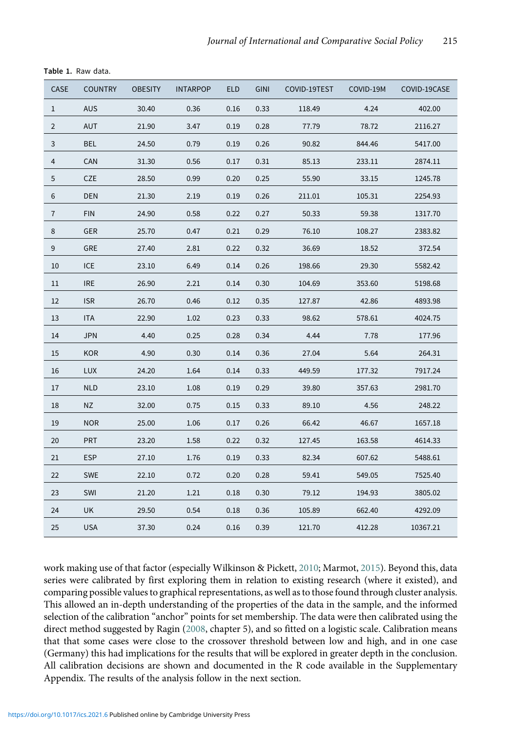| CASE           | <b>COUNTRY</b> | <b>OBESITY</b> | <b>INTARPOP</b> | <b>ELD</b> | <b>GINI</b> | COVID-19TEST | COVID-19M | COVID-19CASE |
|----------------|----------------|----------------|-----------------|------------|-------------|--------------|-----------|--------------|
| 1              | <b>AUS</b>     | 30.40          | 0.36            | 0.16       | 0.33        | 118.49       | 4.24      | 402.00       |
| $\overline{2}$ | AUT            | 21.90          | 3.47            | 0.19       | 0.28        | 77.79        | 78.72     | 2116.27      |
| 3              | <b>BEL</b>     | 24.50          | 0.79            | 0.19       | 0.26        | 90.82        | 844.46    | 5417.00      |
| 4              | CAN            | 31.30          | 0.56            | 0.17       | 0.31        | 85.13        | 233.11    | 2874.11      |
| $\mathbf 5$    | CZE            | 28.50          | 0.99            | 0.20       | 0.25        | 55.90        | 33.15     | 1245.78      |
| 6              | <b>DEN</b>     | 21.30          | 2.19            | 0.19       | 0.26        | 211.01       | 105.31    | 2254.93      |
| $\overline{7}$ | <b>FIN</b>     | 24.90          | 0.58            | 0.22       | 0.27        | 50.33        | 59.38     | 1317.70      |
| 8              | GER            | 25.70          | 0.47            | 0.21       | 0.29        | 76.10        | 108.27    | 2383.82      |
| 9              | GRE            | 27.40          | 2.81            | 0.22       | 0.32        | 36.69        | 18.52     | 372.54       |
| 10             | <b>ICE</b>     | 23.10          | 6.49            | 0.14       | 0.26        | 198.66       | 29.30     | 5582.42      |
| 11             | <b>IRE</b>     | 26.90          | 2.21            | 0.14       | 0.30        | 104.69       | 353.60    | 5198.68      |
| 12             | <b>ISR</b>     | 26.70          | 0.46            | 0.12       | 0.35        | 127.87       | 42.86     | 4893.98      |
| 13             | ITA            | 22.90          | 1.02            | 0.23       | 0.33        | 98.62        | 578.61    | 4024.75      |
| 14             | <b>JPN</b>     | 4.40           | 0.25            | 0.28       | 0.34        | 4.44         | 7.78      | 177.96       |
| 15             | <b>KOR</b>     | 4.90           | 0.30            | 0.14       | 0.36        | 27.04        | 5.64      | 264.31       |
| 16             | <b>LUX</b>     | 24.20          | 1.64            | 0.14       | 0.33        | 449.59       | 177.32    | 7917.24      |
| 17             | <b>NLD</b>     | 23.10          | 1.08            | 0.19       | 0.29        | 39.80        | 357.63    | 2981.70      |
| 18             | NZ             | 32.00          | 0.75            | 0.15       | 0.33        | 89.10        | 4.56      | 248.22       |
| 19             | <b>NOR</b>     | 25.00          | 1.06            | 0.17       | 0.26        | 66.42        | 46.67     | 1657.18      |
| 20             | <b>PRT</b>     | 23.20          | 1.58            | 0.22       | 0.32        | 127.45       | 163.58    | 4614.33      |
| 21             | <b>ESP</b>     | 27.10          | 1.76            | 0.19       | 0.33        | 82.34        | 607.62    | 5488.61      |
| 22             | <b>SWE</b>     | 22.10          | 0.72            | 0.20       | 0.28        | 59.41        | 549.05    | 7525.40      |
| 23             | SWI            | 21.20          | 1.21            | 0.18       | 0.30        | 79.12        | 194.93    | 3805.02      |
| 24             | UK             | 29.50          | 0.54            | 0.18       | 0.36        | 105.89       | 662.40    | 4292.09      |
| 25             | <b>USA</b>     | 37.30          | 0.24            | 0.16       | 0.39        | 121.70       | 412.28    | 10367.21     |

<span id="page-4-0"></span>Table 1. Raw data.

work making use of that factor (especially Wilkinson & Pickett, [2010](#page-14-0); Marmot, [2015\)](#page-13-0). Beyond this, data series were calibrated by first exploring them in relation to existing research (where it existed), and comparing possible values to graphical representations, as well as to those found through cluster analysis. This allowed an in-depth understanding of the properties of the data in the sample, and the informed selection of the calibration "anchor" points for set membership. The data were then calibrated using the direct method suggested by Ragin ([2008](#page-13-0), chapter 5), and so fitted on a logistic scale. Calibration means that that some cases were close to the crossover threshold between low and high, and in one case (Germany) this had implications for the results that will be explored in greater depth in the conclusion. All calibration decisions are shown and documented in the R code available in the Supplementary Appendix. The results of the analysis follow in the next section.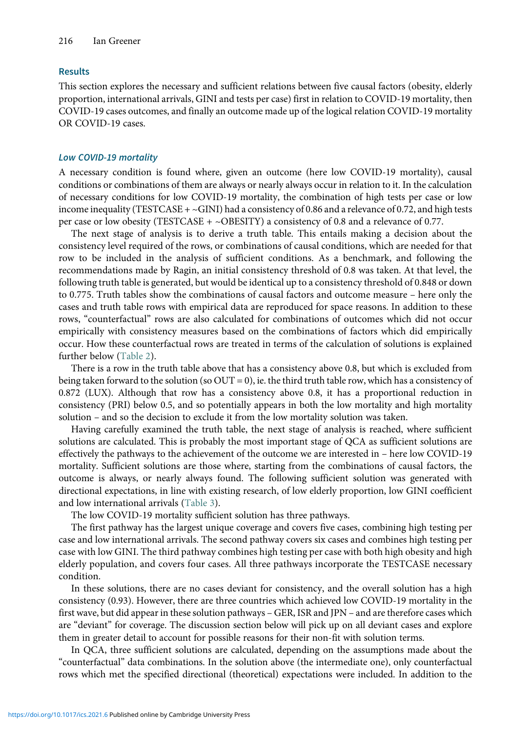# Results

This section explores the necessary and sufficient relations between five causal factors (obesity, elderly proportion, international arrivals, GINI and tests per case) first in relation to COVID-19 mortality, then COVID-19 cases outcomes, and finally an outcome made up of the logical relation COVID-19 mortality OR COVID-19 cases.

## Low COVID-19 mortality

A necessary condition is found where, given an outcome (here low COVID-19 mortality), causal conditions or combinations of them are always or nearly always occur in relation to it. In the calculation of necessary conditions for low COVID-19 mortality, the combination of high tests per case or low income inequality (TESTCASE  $+ \sim$ GINI) had a consistency of 0.86 and a relevance of 0.72, and high tests per case or low obesity (TESTCASE +  $\sim$ OBESITY) a consistency of 0.8 and a relevance of 0.77.

The next stage of analysis is to derive a truth table. This entails making a decision about the consistency level required of the rows, or combinations of causal conditions, which are needed for that row to be included in the analysis of sufficient conditions. As a benchmark, and following the recommendations made by Ragin, an initial consistency threshold of 0.8 was taken. At that level, the following truth table is generated, but would be identical up to a consistency threshold of 0.848 or down to 0.775. Truth tables show the combinations of causal factors and outcome measure – here only the cases and truth table rows with empirical data are reproduced for space reasons. In addition to these rows, "counterfactual" rows are also calculated for combinations of outcomes which did not occur empirically with consistency measures based on the combinations of factors which did empirically occur. How these counterfactual rows are treated in terms of the calculation of solutions is explained further below ([Table 2\)](#page-6-0).

There is a row in the truth table above that has a consistency above 0.8, but which is excluded from being taken forward to the solution (so OUT = 0), ie. the third truth table row, which has a consistency of 0.872 (LUX). Although that row has a consistency above 0.8, it has a proportional reduction in consistency (PRI) below 0.5, and so potentially appears in both the low mortality and high mortality solution – and so the decision to exclude it from the low mortality solution was taken.

Having carefully examined the truth table, the next stage of analysis is reached, where sufficient solutions are calculated. This is probably the most important stage of QCA as sufficient solutions are effectively the pathways to the achievement of the outcome we are interested in – here low COVID-19 mortality. Sufficient solutions are those where, starting from the combinations of causal factors, the outcome is always, or nearly always found. The following sufficient solution was generated with directional expectations, in line with existing research, of low elderly proportion, low GINI coefficient and low international arrivals [\(Table 3](#page-6-0)).

The low COVID-19 mortality sufficient solution has three pathways.

The first pathway has the largest unique coverage and covers five cases, combining high testing per case and low international arrivals. The second pathway covers six cases and combines high testing per case with low GINI. The third pathway combines high testing per case with both high obesity and high elderly population, and covers four cases. All three pathways incorporate the TESTCASE necessary condition.

In these solutions, there are no cases deviant for consistency, and the overall solution has a high consistency (0.93). However, there are three countries which achieved low COVID-19 mortality in the first wave, but did appear in these solution pathways – GER, ISR and JPN – and are therefore cases which are "deviant" for coverage. The discussion section below will pick up on all deviant cases and explore them in greater detail to account for possible reasons for their non-fit with solution terms.

In QCA, three sufficient solutions are calculated, depending on the assumptions made about the "counterfactual" data combinations. In the solution above (the intermediate one), only counterfactual rows which met the specified directional (theoretical) expectations were included. In addition to the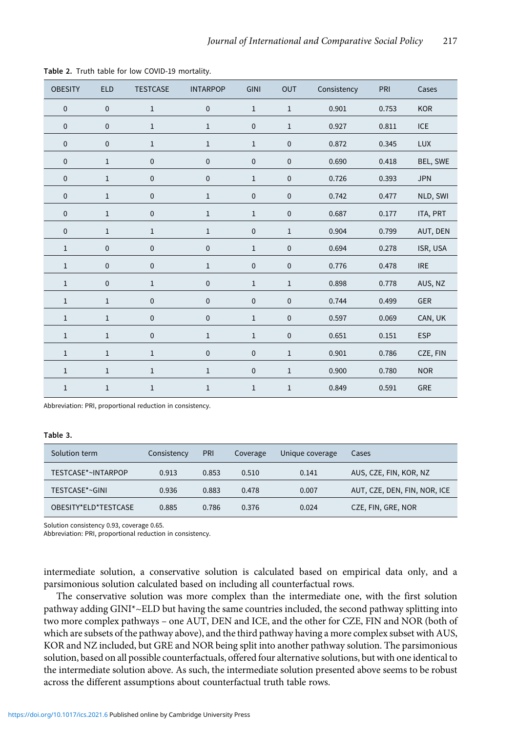| <b>OBESITY</b> | <b>ELD</b>   | <b>TESTCASE</b> | <b>INTARPOP</b> | <b>GINI</b>  | <b>OUT</b>   | Consistency | PRI   | Cases      |
|----------------|--------------|-----------------|-----------------|--------------|--------------|-------------|-------|------------|
| $\pmb{0}$      | $\mathbf 0$  | $\,1\,$         | $\pmb{0}$       | $\mathbf{1}$ | $\,1$        | 0.901       | 0.753 | <b>KOR</b> |
| $\pmb{0}$      | $\mathbf 0$  | $\mathbf{1}$    | $\mathbf{1}$    | $\pmb{0}$    | $\,1$        | 0.927       | 0.811 | <b>ICE</b> |
| $\pmb{0}$      | $\mathbf 0$  | $\mathbf 1$     | $\mathbf 1$     | $\,1$        | $\pmb{0}$    | 0.872       | 0.345 | <b>LUX</b> |
| $\pmb{0}$      | $\,1\,$      | $\pmb{0}$       | $\pmb{0}$       | $\pmb{0}$    | $\mathbf 0$  | 0.690       | 0.418 | BEL, SWE   |
| $\pmb{0}$      | $1\,$        | $\pmb{0}$       | $\pmb{0}$       | $\mathbf{1}$ | $\pmb{0}$    | 0.726       | 0.393 | <b>JPN</b> |
| $\pmb{0}$      | $1\,$        | $\pmb{0}$       | $\mathbf{1}$    | $\pmb{0}$    | $\pmb{0}$    | 0.742       | 0.477 | NLD, SWI   |
| $\pmb{0}$      | $\mathbf 1$  | $\pmb{0}$       | $\,1$           | $\,1$        | $\pmb{0}$    | 0.687       | 0.177 | ITA, PRT   |
| $\pmb{0}$      | $\,1\,$      | $\mathbf 1$     | $\,1$           | $\pmb{0}$    | $\,1$        | 0.904       | 0.799 | AUT, DEN   |
| $\,1$          | $\pmb{0}$    | $\pmb{0}$       | $\pmb{0}$       | $1\,$        | $\pmb{0}$    | 0.694       | 0.278 | ISR, USA   |
| $\,1$          | $\mathbf 0$  | $\pmb{0}$       | $\,1$           | $\pmb{0}$    | $\pmb{0}$    | 0.776       | 0.478 | <b>IRE</b> |
| $\,1$          | $\mathbf 0$  | $\,1\,$         | $\pmb{0}$       | $1\,$        | $\,1$        | 0.898       | 0.778 | AUS, NZ    |
| $\mathbf 1$    | $\,1\,$      | $\pmb{0}$       | $\pmb{0}$       | $\mathbf 0$  | $\mathbf 0$  | 0.744       | 0.499 | GER        |
| $\mathbf 1$    | $1\,$        | $\pmb{0}$       | $\pmb{0}$       | $\mathbf{1}$ | $\mathbf 0$  | 0.597       | 0.069 | CAN, UK    |
| $\mathbf{1}$   | $\mathbf{1}$ | $\mathbf 0$     | $\mathbf 1$     | $\mathbf{1}$ | $\pmb{0}$    | 0.651       | 0.151 | <b>ESP</b> |
| $\mathbf 1$    | $\,1\,$      | $\mathbf 1$     | $\pmb{0}$       | $\pmb{0}$    | $\mathbf{1}$ | 0.901       | 0.786 | CZE, FIN   |
| $\mathbf 1$    | $\mathbf{1}$ | $\mathbf{1}$    | $\mathbf 1$     | $\pmb{0}$    | $\,1\,$      | 0.900       | 0.780 | <b>NOR</b> |
| $\mathbf 1$    | $\mathbf 1$  | $\mathbf 1$     | $\mathbf 1$     | $\,1$        | $\,1$        | 0.849       | 0.591 | GRE        |

<span id="page-6-0"></span>Table 2. Truth table for low COVID-19 mortality.

Abbreviation: PRI, proportional reduction in consistency.

#### Table 3.

| Solution term        | Consistency | PRI   | Unique coverage<br>Coverage |       | Cases                        |
|----------------------|-------------|-------|-----------------------------|-------|------------------------------|
| TESTCASE*~INTARPOP   | 0.913       | 0.853 | 0.510                       | 0.141 | AUS, CZE, FIN, KOR, NZ       |
| TESTCASE*~GINI       | 0.936       | 0.883 | 0.478                       | 0.007 | AUT, CZE, DEN, FIN, NOR, ICE |
| OBESITY*ELD*TESTCASE | 0.885       | 0.786 | 0.376                       | 0.024 | CZE, FIN, GRE, NOR           |

Solution consistency 0.93, coverage 0.65.

Abbreviation: PRI, proportional reduction in consistency.

intermediate solution, a conservative solution is calculated based on empirical data only, and a parsimonious solution calculated based on including all counterfactual rows.

The conservative solution was more complex than the intermediate one, with the first solution pathway adding GINI\*~ELD but having the same countries included, the second pathway splitting into two more complex pathways – one AUT, DEN and ICE, and the other for CZE, FIN and NOR (both of which are subsets of the pathway above), and the third pathway having a more complex subset with AUS, KOR and NZ included, but GRE and NOR being split into another pathway solution. The parsimonious solution, based on all possible counterfactuals, offered four alternative solutions, but with one identical to the intermediate solution above. As such, the intermediate solution presented above seems to be robust across the different assumptions about counterfactual truth table rows.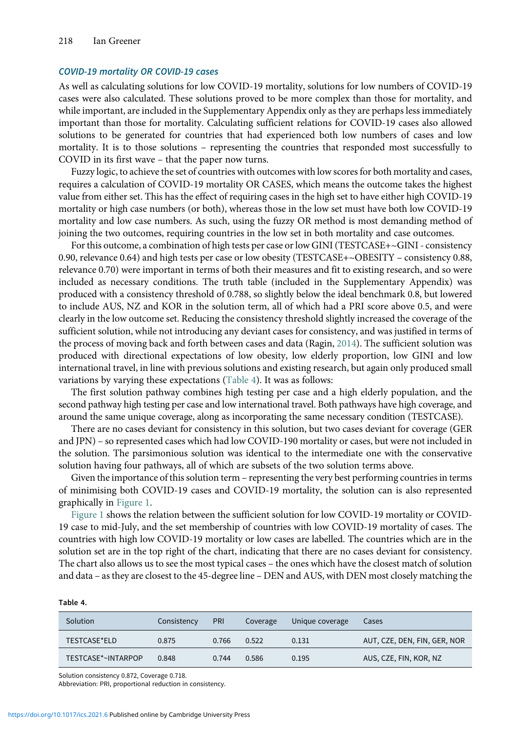## COVID-19 mortality OR COVID-19 cases

As well as calculating solutions for low COVID-19 mortality, solutions for low numbers of COVID-19 cases were also calculated. These solutions proved to be more complex than those for mortality, and while important, are included in the Supplementary Appendix only as they are perhaps less immediately important than those for mortality. Calculating sufficient relations for COVID-19 cases also allowed solutions to be generated for countries that had experienced both low numbers of cases and low mortality. It is to those solutions – representing the countries that responded most successfully to COVID in its first wave – that the paper now turns.

Fuzzy logic, to achieve the set of countries with outcomes with low scores for both mortality and cases, requires a calculation of COVID-19 mortality OR CASES, which means the outcome takes the highest value from either set. This has the effect of requiring cases in the high set to have either high COVID-19 mortality or high case numbers (or both), whereas those in the low set must have both low COVID-19 mortality and low case numbers. As such, using the fuzzy OR method is most demanding method of joining the two outcomes, requiring countries in the low set in both mortality and case outcomes.

For this outcome, a combination of high tests per case or low GINI (TESTCASE+~GINI - consistency 0.90, relevance 0.64) and high tests per case or low obesity (TESTCASE+~OBESITY – consistency 0.88, relevance 0.70) were important in terms of both their measures and fit to existing research, and so were included as necessary conditions. The truth table (included in the Supplementary Appendix) was produced with a consistency threshold of 0.788, so slightly below the ideal benchmark 0.8, but lowered to include AUS, NZ and KOR in the solution term, all of which had a PRI score above 0.5, and were clearly in the low outcome set. Reducing the consistency threshold slightly increased the coverage of the sufficient solution, while not introducing any deviant cases for consistency, and was justified in terms of the process of moving back and forth between cases and data (Ragin, [2014\)](#page-13-0). The sufficient solution was produced with directional expectations of low obesity, low elderly proportion, low GINI and low international travel, in line with previous solutions and existing research, but again only produced small variations by varying these expectations (Table 4). It was as follows:

The first solution pathway combines high testing per case and a high elderly population, and the second pathway high testing per case and low international travel. Both pathways have high coverage, and around the same unique coverage, along as incorporating the same necessary condition (TESTCASE).

There are no cases deviant for consistency in this solution, but two cases deviant for coverage (GER and JPN) – so represented cases which had low COVID-190 mortality or cases, but were not included in the solution. The parsimonious solution was identical to the intermediate one with the conservative solution having four pathways, all of which are subsets of the two solution terms above.

Given the importance of this solution term – representing the very best performing countries in terms of minimising both COVID-19 cases and COVID-19 mortality, the solution can is also represented graphically in [Figure 1](#page-8-0).

[Figure 1](#page-8-0) shows the relation between the sufficient solution for low COVID-19 mortality or COVID-19 case to mid-July, and the set membership of countries with low COVID-19 mortality of cases. The countries with high low COVID-19 mortality or low cases are labelled. The countries which are in the solution set are in the top right of the chart, indicating that there are no cases deviant for consistency. The chart also allows us to see the most typical cases – the ones which have the closest match of solution and data – as they are closest to the 45-degree line – DEN and AUS, with DEN most closely matching the

#### Table 4.

| Solution           | Consistency | <b>PRI</b> | Coverage | Unique coverage | Cases                        |
|--------------------|-------------|------------|----------|-----------------|------------------------------|
| TESTCASE*ELD       | 0.875       | 0.766      | 0.522    | 0.131           | AUT, CZE, DEN, FIN, GER, NOR |
| TESTCASE*~INTARPOP | 0.848       | 0.744      | 0.586    | 0.195           | AUS, CZE, FIN, KOR, NZ       |

Solution consistency 0.872, Coverage 0.718.

Abbreviation: PRI, proportional reduction in consistency.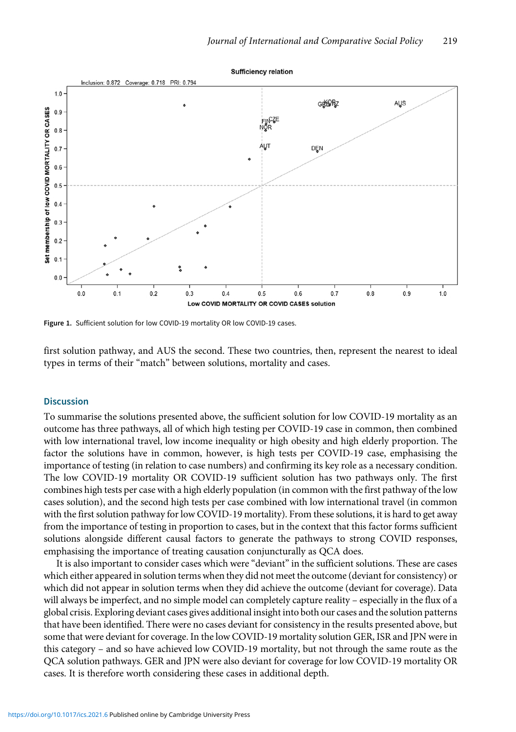<span id="page-8-0"></span>

Figure 1. Sufficient solution for low COVID-19 mortality OR low COVID-19 cases.

first solution pathway, and AUS the second. These two countries, then, represent the nearest to ideal types in terms of their "match" between solutions, mortality and cases.

## **Discussion**

To summarise the solutions presented above, the sufficient solution for low COVID-19 mortality as an outcome has three pathways, all of which high testing per COVID-19 case in common, then combined with low international travel, low income inequality or high obesity and high elderly proportion. The factor the solutions have in common, however, is high tests per COVID-19 case, emphasising the importance of testing (in relation to case numbers) and confirming its key role as a necessary condition. The low COVID-19 mortality OR COVID-19 sufficient solution has two pathways only. The first combines high tests per case with a high elderly population (in common with the first pathway of the low cases solution), and the second high tests per case combined with low international travel (in common with the first solution pathway for low COVID-19 mortality). From these solutions, it is hard to get away from the importance of testing in proportion to cases, but in the context that this factor forms sufficient solutions alongside different causal factors to generate the pathways to strong COVID responses, emphasising the importance of treating causation conjuncturally as QCA does.

It is also important to consider cases which were "deviant" in the sufficient solutions. These are cases which either appeared in solution terms when they did not meet the outcome (deviant for consistency) or which did not appear in solution terms when they did achieve the outcome (deviant for coverage). Data will always be imperfect, and no simple model can completely capture reality – especially in the flux of a global crisis. Exploring deviant cases gives additional insight into both our cases and the solution patterns that have been identified. There were no cases deviant for consistency in the results presented above, but some that were deviant for coverage. In the low COVID-19 mortality solution GER, ISR and JPN were in this category – and so have achieved low COVID-19 mortality, but not through the same route as the QCA solution pathways. GER and JPN were also deviant for coverage for low COVID-19 mortality OR cases. It is therefore worth considering these cases in additional depth.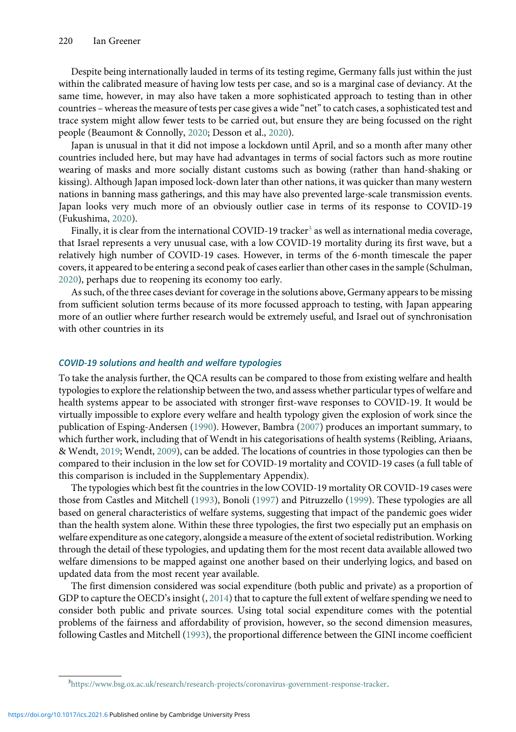Despite being internationally lauded in terms of its testing regime, Germany falls just within the just within the calibrated measure of having low tests per case, and so is a marginal case of deviancy. At the same time, however, in may also have taken a more sophisticated approach to testing than in other countries – whereas the measure of tests per case gives a wide "net"to catch cases, a sophisticated test and trace system might allow fewer tests to be carried out, but ensure they are being focussed on the right people (Beaumont & Connolly, [2020](#page-13-0); Desson et al., [2020\)](#page-13-0).

Japan is unusual in that it did not impose a lockdown until April, and so a month after many other countries included here, but may have had advantages in terms of social factors such as more routine wearing of masks and more socially distant customs such as bowing (rather than hand-shaking or kissing). Although Japan imposed lock-down later than other nations, it was quicker than many western nations in banning mass gatherings, and this may have also prevented large-scale transmission events. Japan looks very much more of an obviously outlier case in terms of its response to COVID-19 (Fukushima, [2020\)](#page-13-0).

Finally, it is clear from the international COVID-19 tracker<sup>3</sup> as well as international media coverage, that Israel represents a very unusual case, with a low COVID-19 mortality during its first wave, but a relatively high number of COVID-19 cases. However, in terms of the 6-month timescale the paper covers, it appeared to be entering a second peak of cases earlier than other cases in the sample (Schulman, [2020\)](#page-14-0), perhaps due to reopening its economy too early.

As such, of the three cases deviant for coverage in the solutions above, Germany appears to be missing from sufficient solution terms because of its more focussed approach to testing, with Japan appearing more of an outlier where further research would be extremely useful, and Israel out of synchronisation with other countries in its

#### COVID-19 solutions and health and welfare typologies

To take the analysis further, the QCA results can be compared to those from existing welfare and health typologies to explore the relationship between the two, and assess whether particular types of welfare and health systems appear to be associated with stronger first-wave responses to COVID-19. It would be virtually impossible to explore every welfare and health typology given the explosion of work since the publication of Esping-Andersen [\(1990\)](#page-13-0). However, Bambra [\(2007\)](#page-13-0) produces an important summary, to which further work, including that of Wendt in his categorisations of health systems (Reibling, Ariaans, & Wendt, [2019;](#page-13-0) Wendt, [2009\)](#page-14-0), can be added. The locations of countries in those typologies can then be compared to their inclusion in the low set for COVID-19 mortality and COVID-19 cases (a full table of this comparison is included in the Supplementary Appendix).

The typologies which best fit the countries in the low COVID-19 mortality OR COVID-19 cases were those from Castles and Mitchell [\(1993\)](#page-13-0), Bonoli ([1997](#page-13-0)) and Pitruzzello ([1999](#page-13-0)). These typologies are all based on general characteristics of welfare systems, suggesting that impact of the pandemic goes wider than the health system alone. Within these three typologies, the first two especially put an emphasis on welfare expenditure as one category, alongside a measure of the extent of societal redistribution. Working through the detail of these typologies, and updating them for the most recent data available allowed two welfare dimensions to be mapped against one another based on their underlying logics, and based on updated data from the most recent year available.

The first dimension considered was social expenditure (both public and private) as a proportion of GDP to capture the OECD's insight (, [2014\)](#page-13-0) that to capture the full extent of welfare spending we need to consider both public and private sources. Using total social expenditure comes with the potential problems of the fairness and affordability of provision, however, so the second dimension measures, following Castles and Mitchell ([1993](#page-13-0)), the proportional difference between the GINI income coefficient

<sup>3</sup> <https://www.bsg.ox.ac.uk/research/research-projects/coronavirus-government-response-tracker>.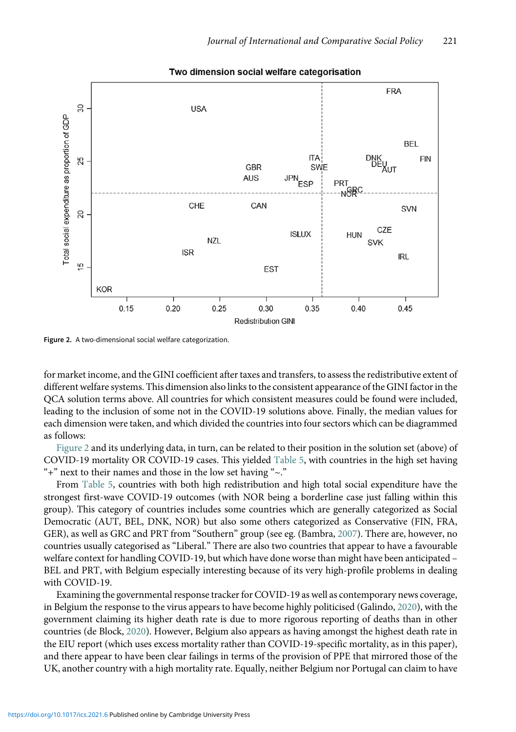

#### Two dimension social welfare categorisation

Figure 2. A two-dimensional social welfare categorization.

for market income, and the GINI coefficient after taxes and transfers, to assess the redistributive extent of different welfare systems. This dimension also links to the consistent appearance of the GINI factor in the QCA solution terms above. All countries for which consistent measures could be found were included, leading to the inclusion of some not in the COVID-19 solutions above. Finally, the median values for each dimension were taken, and which divided the countries into four sectors which can be diagrammed as follows:

Figure 2 and its underlying data, in turn, can be related to their position in the solution set (above) of COVID-19 mortality OR COVID-19 cases. This yielded [Table 5](#page-11-0), with countries in the high set having "+" next to their names and those in the low set having "~."

From [Table 5,](#page-11-0) countries with both high redistribution and high total social expenditure have the strongest first-wave COVID-19 outcomes (with NOR being a borderline case just falling within this group). This category of countries includes some countries which are generally categorized as Social Democratic (AUT, BEL, DNK, NOR) but also some others categorized as Conservative (FIN, FRA, GER), as well as GRC and PRT from "Southern" group (see eg. (Bambra, [2007](#page-13-0)). There are, however, no countries usually categorised as "Liberal." There are also two countries that appear to have a favourable welfare context for handling COVID-19, but which have done worse than might have been anticipated – BEL and PRT, with Belgium especially interesting because of its very high-profile problems in dealing with COVID-19.

Examining the governmental response tracker for COVID-19 as well as contemporary news coverage, in Belgium the response to the virus appears to have become highly politicised (Galindo, [2020\)](#page-13-0), with the government claiming its higher death rate is due to more rigorous reporting of deaths than in other countries (de Block, [2020](#page-13-0)). However, Belgium also appears as having amongst the highest death rate in the EIU report (which uses excess mortality rather than COVID-19-specific mortality, as in this paper), and there appear to have been clear failings in terms of the provision of PPE that mirrored those of the UK, another country with a high mortality rate. Equally, neither Belgium nor Portugal can claim to have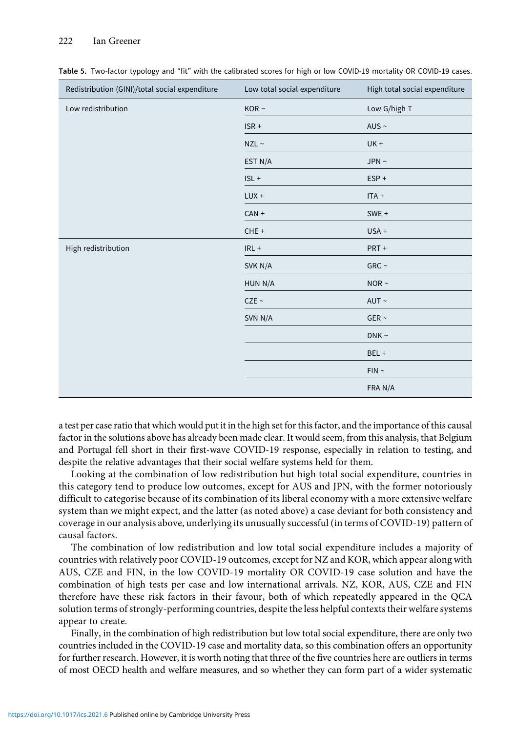#### <span id="page-11-0"></span>222 Ian Greener

| Redistribution (GINI)/total social expenditure | Low total social expenditure | High total social expenditure |  |
|------------------------------------------------|------------------------------|-------------------------------|--|
| Low redistribution                             | KOR $\sim$                   | Low G/high T                  |  |
|                                                | $ISR +$                      | AUS $\sim$                    |  |
|                                                | $NZL \sim$                   | $UK +$                        |  |
|                                                | EST N/A                      | JPN $\sim$                    |  |
|                                                | $ISL +$                      | ESP+                          |  |
|                                                | $LUX +$                      | $ITA +$                       |  |
|                                                | $CAN +$                      | SWE +                         |  |
|                                                | $CHE +$                      | $USA +$                       |  |
| High redistribution                            | $IRL +$                      | PRT+                          |  |
|                                                | SVK N/A                      | GRC $\sim$                    |  |
|                                                | HUN N/A                      | NOR $\sim$                    |  |
|                                                | CZE ~                        | $AUT \sim$                    |  |
|                                                | SVN N/A                      | GER $\sim$                    |  |
|                                                |                              | $DNK \sim$                    |  |
|                                                |                              | BEL +                         |  |
|                                                |                              | $FIN \sim$                    |  |
|                                                |                              | FRA N/A                       |  |

Table 5. Two-factor typology and "fit" with the calibrated scores for high or low COVID-19 mortality OR COVID-19 cases.

a test per case ratio that which would put it in the high set for this factor, and the importance of this causal factor in the solutions above has already been made clear. It would seem, from this analysis, that Belgium and Portugal fell short in their first-wave COVID-19 response, especially in relation to testing, and despite the relative advantages that their social welfare systems held for them.

Looking at the combination of low redistribution but high total social expenditure, countries in this category tend to produce low outcomes, except for AUS and JPN, with the former notoriously difficult to categorise because of its combination of its liberal economy with a more extensive welfare system than we might expect, and the latter (as noted above) a case deviant for both consistency and coverage in our analysis above, underlying its unusually successful (in terms of COVID-19) pattern of causal factors.

The combination of low redistribution and low total social expenditure includes a majority of countries with relatively poor COVID-19 outcomes, except for NZ and KOR, which appear along with AUS, CZE and FIN, in the low COVID-19 mortality OR COVID-19 case solution and have the combination of high tests per case and low international arrivals. NZ, KOR, AUS, CZE and FIN therefore have these risk factors in their favour, both of which repeatedly appeared in the QCA solution terms of strongly-performing countries, despite the less helpful contexts their welfare systems appear to create.

Finally, in the combination of high redistribution but low total social expenditure, there are only two countries included in the COVID-19 case and mortality data, so this combination offers an opportunity for further research. However, it is worth noting that three of the five countries here are outliers in terms of most OECD health and welfare measures, and so whether they can form part of a wider systematic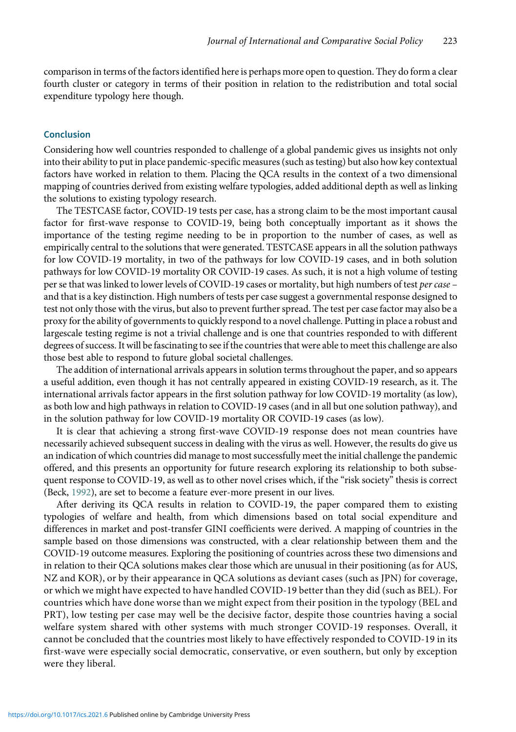comparison in terms of the factors identified here is perhaps more open to question. They do form a clear fourth cluster or category in terms of their position in relation to the redistribution and total social expenditure typology here though.

# Conclusion

Considering how well countries responded to challenge of a global pandemic gives us insights not only into their ability to put in place pandemic-specific measures (such as testing) but also how key contextual factors have worked in relation to them. Placing the QCA results in the context of a two dimensional mapping of countries derived from existing welfare typologies, added additional depth as well as linking the solutions to existing typology research.

The TESTCASE factor, COVID-19 tests per case, has a strong claim to be the most important causal factor for first-wave response to COVID-19, being both conceptually important as it shows the importance of the testing regime needing to be in proportion to the number of cases, as well as empirically central to the solutions that were generated. TESTCASE appears in all the solution pathways for low COVID-19 mortality, in two of the pathways for low COVID-19 cases, and in both solution pathways for low COVID-19 mortality OR COVID-19 cases. As such, it is not a high volume of testing per se that was linked to lower levels of COVID-19 cases or mortality, but high numbers of test per case – and that is a key distinction. High numbers of tests per case suggest a governmental response designed to test not only those with the virus, but also to prevent further spread. The test per case factor may also be a proxy for the ability of governments to quickly respond to a novel challenge. Putting in place a robust and largescale testing regime is not a trivial challenge and is one that countries responded to with different degrees of success. It will be fascinating to see if the countries that were able to meet this challenge are also those best able to respond to future global societal challenges.

The addition of international arrivals appears in solution terms throughout the paper, and so appears a useful addition, even though it has not centrally appeared in existing COVID-19 research, as it. The international arrivals factor appears in the first solution pathway for low COVID-19 mortality (as low), as both low and high pathways in relation to COVID-19 cases (and in all but one solution pathway), and in the solution pathway for low COVID-19 mortality OR COVID-19 cases (as low).

It is clear that achieving a strong first-wave COVID-19 response does not mean countries have necessarily achieved subsequent success in dealing with the virus as well. However, the results do give us an indication of which countries did manage to most successfully meet the initial challenge the pandemic offered, and this presents an opportunity for future research exploring its relationship to both subsequent response to COVID-19, as well as to other novel crises which, if the "risk society" thesis is correct (Beck, [1992\)](#page-13-0), are set to become a feature ever-more present in our lives.

After deriving its QCA results in relation to COVID-19, the paper compared them to existing typologies of welfare and health, from which dimensions based on total social expenditure and differences in market and post-transfer GINI coefficients were derived. A mapping of countries in the sample based on those dimensions was constructed, with a clear relationship between them and the COVID-19 outcome measures. Exploring the positioning of countries across these two dimensions and in relation to their QCA solutions makes clear those which are unusual in their positioning (as for AUS, NZ and KOR), or by their appearance in QCA solutions as deviant cases (such as JPN) for coverage, or which we might have expected to have handled COVID-19 better than they did (such as BEL). For countries which have done worse than we might expect from their position in the typology (BEL and PRT), low testing per case may well be the decisive factor, despite those countries having a social welfare system shared with other systems with much stronger COVID-19 responses. Overall, it cannot be concluded that the countries most likely to have effectively responded to COVID-19 in its first-wave were especially social democratic, conservative, or even southern, but only by exception were they liberal.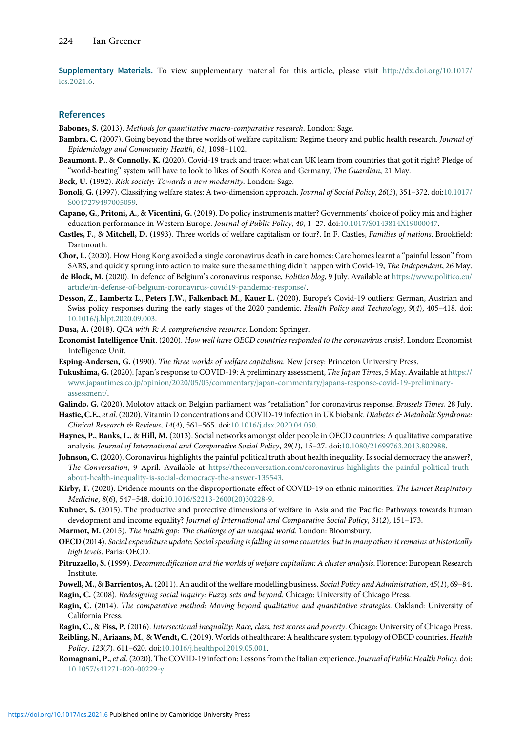<span id="page-13-0"></span>Supplementary Materials. To view supplementary material for this article, please visit [http://dx.doi.org/10.1017/](http://dx.doi.org/10.1017/ics.2021.6) [ics.2021.6](http://dx.doi.org/10.1017/ics.2021.6).

#### References

Babones, S. (2013). Methods for quantitative macro-comparative research. London: Sage.

- Bambra, C. (2007). Going beyond the three worlds of welfare capitalism: Regime theory and public health research. Journal of Epidemiology and Community Health, 61, 1098–1102.
- Beaumont, P., & Connolly, K. (2020). Covid-19 track and trace: what can UK learn from countries that got it right? Pledge of "world-beating" system will have to look to likes of South Korea and Germany, The Guardian, 21 May.

Beck, U. (1992). Risk society: Towards a new modernity. London: Sage.

- Bonoli, G. (1997). Classifying welfare states: A two-dimension approach. Journal of Social Policy, 26(3), 351-372. doi[:10.1017/](https://doi.org/10.1017/S0047279497005059) [S0047279497005059.](https://doi.org/10.1017/S0047279497005059)
- Capano, G., Pritoni, A., & Vicentini, G. (2019). Do policy instruments matter? Governments' choice of policy mix and higher education performance in Western Europe. Journal of Public Policy, 40, 1-27. doi[:10.1017/S0143814X19000047.](https://doi.org/10.1017/S0143814X19000047)
- Castles, F., & Mitchell, D. (1993). Three worlds of welfare capitalism or four?. In F. Castles, Families of nations. Brookfield: Dartmouth.
- Chor, L. (2020). How Hong Kong avoided a single coronavirus death in care homes: Care homes learnt a "painful lesson"from SARS, and quickly sprung into action to make sure the same thing didn't happen with Covid-19, The Independent, 26 May.
- de Block, M. (2020). In defence of Belgium's coronavirus response, Politico blog, 9 July. Available at [https://www.politico.eu/](https://www.politico.eu/article/in-defense-of-belgium-coronavirus-covid19-pandemic-response/) [article/in-defense-of-belgium-coronavirus-covid19-pandemic-response/.](https://www.politico.eu/article/in-defense-of-belgium-coronavirus-covid19-pandemic-response/)
- Desson, Z., Lambertz L., Peters J.W., Falkenbach M., Kauer L. (2020). Europe's Covid-19 outliers: German, Austrian and Swiss policy responses during the early stages of the 2020 pandemic. Health Policy and Technology, 9(4), 405–418. doi: [10.1016/j.hlpt.2020.09.003](https://doi.org/10.1016/j.hlpt.2020.09.003).
- Dusa, A. (2018). QCA with R: A comprehensive resource. London: Springer.
- Economist Intelligence Unit. (2020). How well have OECD countries responded to the coronavirus crisis?. London: Economist Intelligence Unit.
- Esping-Andersen, G. (1990). The three worlds of welfare capitalism. New Jersey: Princeton University Press.
- Fukushima, G. (2020). Japan's response to COVID-19: A preliminary assessment, The Japan Times, 5 May. Available at [https://](https://www.japantimes.co.jp/opinion/2020/05/05/commentary/japan-commentary/japans-response-covid-19-preliminary-assessment/) [www.japantimes.co.jp/opinion/2020/05/05/commentary/japan-commentary/japans-response-covid-19-preliminary](https://www.japantimes.co.jp/opinion/2020/05/05/commentary/japan-commentary/japans-response-covid-19-preliminary-assessment/)[assessment/.](https://www.japantimes.co.jp/opinion/2020/05/05/commentary/japan-commentary/japans-response-covid-19-preliminary-assessment/)
- Galindo, G. (2020). Molotov attack on Belgian parliament was "retaliation" for coronavirus response, Brussels Times, 28 July.
- Hastie, C.E., et al. (2020). Vitamin D concentrations and COVID-19 infection in UK biobank. Diabetes & Metabolic Syndrome: Clinical Research & Reviews, 14(4), 561–565. doi:[10.1016/j.dsx.2020.04.050](https://doi.org/10.1016/j.dsx.2020.04.050).
- Haynes, P., Banks, L., & Hill, M. (2013). Social networks amongst older people in OECD countries: A qualitative comparative analysis. Journal of International and Comparative Social Policy, 29(1), 15–27. doi[:10.1080/21699763.2013.802988.](https://doi.org/10.1080/21699763.2013.802988)
- Johnson, C. (2020). Coronavirus highlights the painful political truth about health inequality. Is social democracy the answer?, The Conversation, 9 April. Available at [https://theconversation.com/coronavirus-highlights-the-painful-political-truth](https://theconversation.com/coronavirus-highlights-the-painful-political-truth-about-health-inequality-is-social-democracy-the-answer-135543)[about-health-inequality-is-social-democracy-the-answer-135543](https://theconversation.com/coronavirus-highlights-the-painful-political-truth-about-health-inequality-is-social-democracy-the-answer-135543).
- Kirby, T. (2020). Evidence mounts on the disproportionate effect of COVID-19 on ethnic minorities. The Lancet Respiratory Medicine, 8(6), 547–548. doi[:10.1016/S2213-2600\(20\)30228-9](https://doi.org/10.1016/S2213-2600(20)30228-9).
- Kuhner, S. (2015). The productive and protective dimensions of welfare in Asia and the Pacific: Pathways towards human development and income equality? Journal of International and Comparative Social Policy, 31(2), 151–173.
- Marmot, M. (2015). The health gap: The challenge of an unequal world. London: Bloomsbury.
- OECD (2014). Social expenditure update: Social spending is falling in some countries, but in many others it remains at historically high levels. Paris: OECD.
- Pitruzzello, S. (1999). Decommodification and the worlds of welfare capitalism: A cluster analysis. Florence: European Research Institute.

Powell, M., & Barrientos, A. (2011). An audit of the welfare modelling business. Social Policy and Administration, 45(1), 69-84. Ragin, C. (2008). Redesigning social inquiry: Fuzzy sets and beyond. Chicago: University of Chicago Press.

- Ragin, C. (2014). The comparative method: Moving beyond qualitative and quantitative strategies. Oakland: University of California Press.
- Ragin, C., & Fiss, P. (2016). Intersectional inequality: Race, class, test scores and poverty. Chicago: University of Chicago Press.

Reibling, N., Ariaans, M., & Wendt, C. (2019). Worlds of healthcare: A healthcare system typology of OECD countries. Health Policy, 123(7), 611–620. doi[:10.1016/j.healthpol.2019.05.001.](https://doi.org/10.1016/j.healthpol.2019.05.001)

Romagnani, P., et al. (2020). The COVID-19 infection: Lessons from the Italian experience. Journal of Public Health Policy. doi: [10.1057/s41271-020-00229-y.](https://doi.org/10.1057/s41271-020-00229-y)